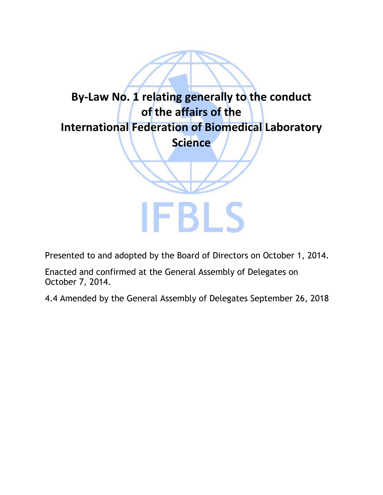

Presented to and adopted by the Board of Directors on October 1, 2014.

Enacted and confirmed at the General Assembly of Delegates on October 7, 2014.

4.4 Amended by the General Assembly of Delegates September 26, 2018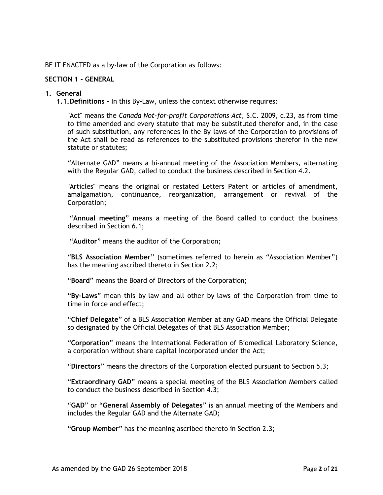BE IT ENACTED as a by-law of the Corporation as follows:

### **SECTION 1 - GENERAL**

#### **1. General**

**1.1.Definitions -** In this By-Law, unless the context otherwise requires:

"Act" means the *Canada Not-for-profit Corporations Act*, S.C. 2009, c.23, as from time to time amended and every statute that may be substituted therefor and, in the case of such substitution, any references in the By-laws of the Corporation to provisions of the Act shall be read as references to the substituted provisions therefor in the new statute or statutes;

"Alternate GAD" means a bi-annual meeting of the Association Members, alternating with the Regular GAD, called to conduct the business described in Section 4.2.

"Articles" means the original or restated Letters Patent or articles of amendment, amalgamation, continuance, reorganization, arrangement or revival of the Corporation;

"**Annual meeting**" means a meeting of the Board called to conduct the business described in Section 6.1;

"**Auditor**" means the auditor of the Corporation;

"**BLS Association Member**" (sometimes referred to herein as "Association Member") has the meaning ascribed thereto in Section 2.2;

"**Board**" means the Board of Directors of the Corporation;

"**By-Laws**" mean this by-law and all other by-laws of the Corporation from time to time in force and effect;

"**Chief Delegate**" of a BLS Association Member at any GAD means the Official Delegate so designated by the Official Delegates of that BLS Association Member;

"**Corporation**" means the International Federation of Biomedical Laboratory Science, a corporation without share capital incorporated under the Act;

"**Directors**" means the directors of the Corporation elected pursuant to Section 5.3;

"**Extraordinary GAD**" means a special meeting of the BLS Association Members called to conduct the business described in Section 4.3;

"**GAD**" or "**General Assembly of Delegates**" is an annual meeting of the Members and includes the Regular GAD and the Alternate GAD;

"**Group Member**" has the meaning ascribed thereto in Section 2.3;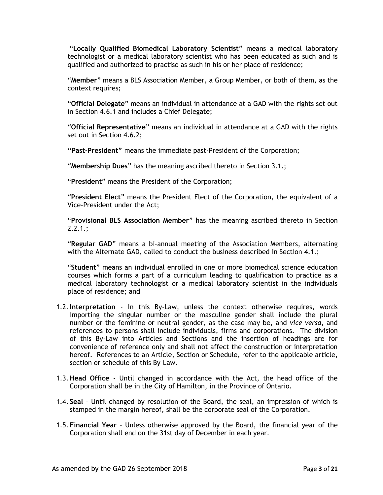"**Locally Qualified Biomedical Laboratory Scientist**" means a medical laboratory technologist or a medical laboratory scientist who has been educated as such and is qualified and authorized to practise as such in his or her place of residence;

"**Member**" means a BLS Association Member, a Group Member, or both of them, as the context requires;

"**Official Delegate**" means an individual in attendance at a GAD with the rights set out in Section 4.6.1 and includes a Chief Delegate;

"**Official Representative**" means an individual in attendance at a GAD with the rights set out in Section 4.6.2;

**"Past-President"** means the immediate past-President of the Corporation;

"**Membership Dues**" has the meaning ascribed thereto in Section 3.1.;

"**President**" means the President of the Corporation;

"**President Elect**" means the President Elect of the Corporation, the equivalent of a Vice-President under the Act;

"**Provisional BLS Association Member**" has the meaning ascribed thereto in Section  $2.2.1$ .;

"**Regular GAD**" means a bi-annual meeting of the Association Members, alternating with the Alternate GAD, called to conduct the business described in Section 4.1.;

"**Student**" means an individual enrolled in one or more biomedical science education courses which forms a part of a curriculum leading to qualification to practice as a medical laboratory technologist or a medical laboratory scientist in the individuals place of residence; and

- 1.2.**Interpretation** In this By-Law, unless the context otherwise requires, words importing the singular number or the masculine gender shall include the plural number or the feminine or neutral gender, as the case may be, and *vice versa*, and references to persons shall include individuals, firms and corporations. The division of this By-Law into Articles and Sections and the insertion of headings are for convenience of reference only and shall not affect the construction or interpretation hereof. References to an Article, Section or Schedule, refer to the applicable article, section or schedule of this By-Law.
- 1.3. **Head Office**  Until changed in accordance with the Act, the head office of the Corporation shall be in the City of Hamilton, in the Province of Ontario.
- 1.4. **Seal**  Until changed by resolution of the Board, the seal, an impression of which is stamped in the margin hereof, shall be the corporate seal of the Corporation.
- 1.5. **Financial Year** Unless otherwise approved by the Board, the financial year of the Corporation shall end on the 31st day of December in each year.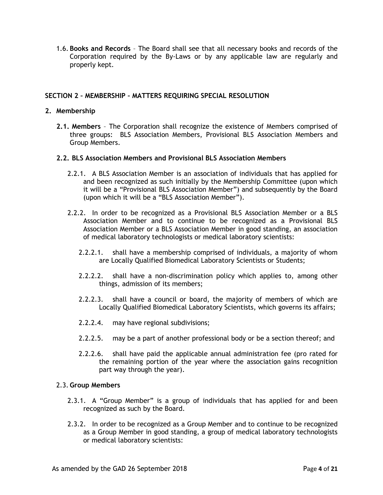1.6. **Books and Records** – The Board shall see that all necessary books and records of the Corporation required by the By-Laws or by any applicable law are regularly and properly kept.

# **SECTION 2 – MEMBERSHIP – MATTERS REQUIRING SPECIAL RESOLUTION**

### **2. Membership**

**2.1. Members** – The Corporation shall recognize the existence of Members comprised of three groups: BLS Association Members, Provisional BLS Association Members and Group Members.

### **2.2. BLS Association Members and Provisional BLS Association Members**

- 2.2.1. A BLS Association Member is an association of individuals that has applied for and been recognized as such initially by the Membership Committee (upon which it will be a "Provisional BLS Association Member") and subsequently by the Board (upon which it will be a "BLS Association Member").
- 2.2.2. In order to be recognized as a Provisional BLS Association Member or a BLS Association Member and to continue to be recognized as a Provisional BLS Association Member or a BLS Association Member in good standing, an association of medical laboratory technologists or medical laboratory scientists:
	- 2.2.2.1. shall have a membership comprised of individuals, a majority of whom are Locally Qualified Biomedical Laboratory Scientists or Students;
	- 2.2.2.2. shall have a non-discrimination policy which applies to, among other things, admission of its members;
	- 2.2.2.3. shall have a council or board, the majority of members of which are Locally Qualified Biomedical Laboratory Scientists, which governs its affairs;
	- 2.2.2.4. may have regional subdivisions;
	- 2.2.2.5. may be a part of another professional body or be a section thereof; and
	- 2.2.2.6. shall have paid the applicable annual administration fee (pro rated for the remaining portion of the year where the association gains recognition part way through the year).

### 2.3. **Group Members**

- 2.3.1. A "Group Member" is a group of individuals that has applied for and been recognized as such by the Board.
- 2.3.2. In order to be recognized as a Group Member and to continue to be recognized as a Group Member in good standing, a group of medical laboratory technologists or medical laboratory scientists: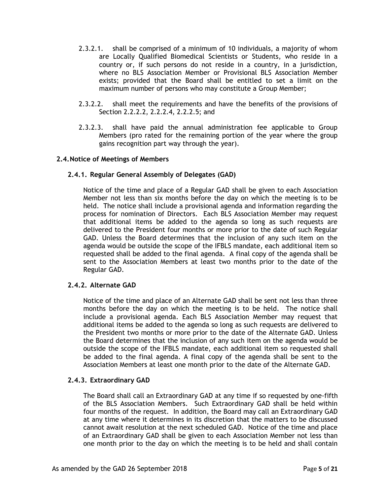- 2.3.2.1. shall be comprised of a minimum of 10 individuals, a majority of whom are Locally Qualified Biomedical Scientists or Students, who reside in a country or, if such persons do not reside in a country, in a jurisdiction, where no BLS Association Member or Provisional BLS Association Member exists; provided that the Board shall be entitled to set a limit on the maximum number of persons who may constitute a Group Member;
- 2.3.2.2. shall meet the requirements and have the benefits of the provisions of Section 2.2.2.2, 2.2.2.4, 2.2.2.5; and
- 2.3.2.3. shall have paid the annual administration fee applicable to Group Members (pro rated for the remaining portion of the year where the group gains recognition part way through the year).

### **2.4.Notice of Meetings of Members**

### **2.4.1. Regular General Assembly of Delegates (GAD)**

Notice of the time and place of a Regular GAD shall be given to each Association Member not less than six months before the day on which the meeting is to be held. The notice shall include a provisional agenda and information regarding the process for nomination of Directors. Each BLS Association Member may request that additional items be added to the agenda so long as such requests are delivered to the President four months or more prior to the date of such Regular GAD. Unless the Board determines that the inclusion of any such item on the agenda would be outside the scope of the IFBLS mandate, each additional item so requested shall be added to the final agenda. A final copy of the agenda shall be sent to the Association Members at least two months prior to the date of the Regular GAD.

# **2.4.2. Alternate GAD**

Notice of the time and place of an Alternate GAD shall be sent not less than three months before the day on which the meeting is to be held. The notice shall include a provisional agenda. Each BLS Association Member may request that additional items be added to the agenda so long as such requests are delivered to the President two months or more prior to the date of the Alternate GAD. Unless the Board determines that the inclusion of any such item on the agenda would be outside the scope of the IFBLS mandate, each additional item so requested shall be added to the final agenda. A final copy of the agenda shall be sent to the Association Members at least one month prior to the date of the Alternate GAD.

#### **2.4.3. Extraordinary GAD**

The Board shall call an Extraordinary GAD at any time if so requested by one-fifth of the BLS Association Members. Such Extraordinary GAD shall be held within four months of the request.In addition, the Board may call an Extraordinary GAD at any time where it determines in its discretion that the matters to be discussed cannot await resolution at the next scheduled GAD. Notice of the time and place of an Extraordinary GAD shall be given to each Association Member not less than one month prior to the day on which the meeting is to be held and shall contain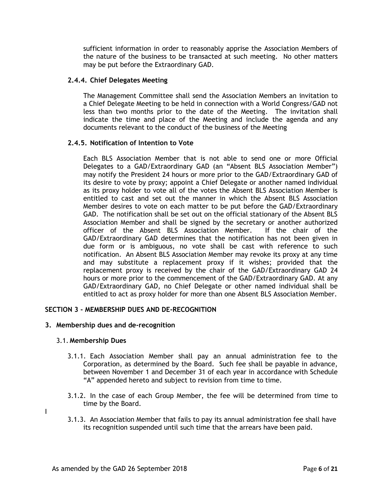sufficient information in order to reasonably apprise the Association Members of the nature of the business to be transacted at such meeting. No other matters may be put before the Extraordinary GAD.

### **2.4.4. Chief Delegates Meeting**

The Management Committee shall send the Association Members an invitation to a Chief Delegate Meeting to be held in connection with a World Congress/GAD not less than two months prior to the date of the Meeting. The invitation shall indicate the time and place of the Meeting and include the agenda and any documents relevant to the conduct of the business of the Meeting

### **2.4.5. Notification of Intention to Vote**

Each BLS Association Member that is not able to send one or more Official Delegates to a GAD/Extraordinary GAD (an "Absent BLS Association Member") may notify the President 24 hours or more prior to the GAD/Extraordinary GAD of its desire to vote by proxy; appoint a Chief Delegate or another named individual as its proxy holder to vote all of the votes the Absent BLS Association Member is entitled to cast and set out the manner in which the Absent BLS Association Member desires to vote on each matter to be put before the GAD/Extraordinary GAD. The notification shall be set out on the official stationary of the Absent BLS Association Member and shall be signed by the secretary or another authorized officer of the Absent BLS Association Member. If the chair of the GAD/Extraordinary GAD determines that the notification has not been given in due form or is ambiguous, no vote shall be cast with reference to such notification. An Absent BLS Association Member may revoke its proxy at any time and may substitute a replacement proxy if it wishes; provided that the replacement proxy is received by the chair of the GAD/Extraordinary GAD 24 hours or more prior to the commencement of the GAD/Extraordinary GAD. At any GAD/Extraordinary GAD, no Chief Delegate or other named individual shall be entitled to act as proxy holder for more than one Absent BLS Association Member.

### **SECTION 3 - MEMBERSHIP DUES AND DE-RECOGNITION**

#### **3. Membership dues and de-recognition**

#### 3.1. **Membership Dues**

I

- 3.1.1. Each Association Member shall pay an annual administration fee to the Corporation, as determined by the Board. Such fee shall be payable in advance, between November 1 and December 31 of each year in accordance with Schedule "A" appended hereto and subject to revision from time to time.
- 3.1.2. In the case of each Group Member, the fee will be determined from time to time by the Board.
- 3.1.3. An Association Member that fails to pay its annual administration fee shall have its recognition suspended until such time that the arrears have been paid.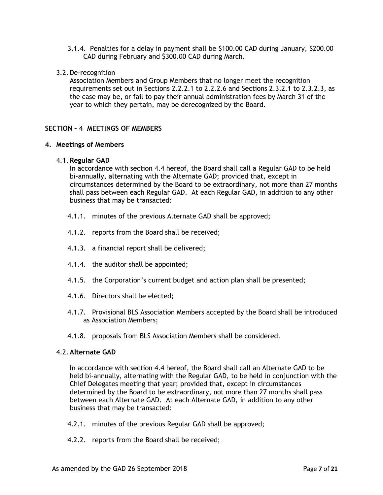- 3.1.4. Penalties for a delay in payment shall be \$100.00 CAD during January, \$200.00 CAD during February and \$300.00 CAD during March.
- 3.2. De-recognition

Association Members and Group Members that no longer meet the recognition requirements set out in Sections 2.2.2.1 to 2.2.2.6 and Sections 2.3.2.1 to 2.3.2.3, as the case may be, or fail to pay their annual administration fees by March 31 of the year to which they pertain, may be derecognized by the Board.

# **SECTION – 4 MEETINGS OF MEMBERS**

# **4. Meetings of Members**

### 4.1. **Regular GAD**

In accordance with section 4.4 hereof, the Board shall call a Regular GAD to be held bi-annually, alternating with the Alternate GAD; provided that, except in circumstances determined by the Board to be extraordinary, not more than 27 months shall pass between each Regular GAD. At each Regular GAD, in addition to any other business that may be transacted:

- 4.1.1. minutes of the previous Alternate GAD shall be approved;
- 4.1.2. reports from the Board shall be received;
- 4.1.3. a financial report shall be delivered;
- 4.1.4. the auditor shall be appointed;
- 4.1.5. the Corporation's current budget and action plan shall be presented;
- 4.1.6. Directors shall be elected;
- 4.1.7. Provisional BLS Association Members accepted by the Board shall be introduced as Association Members;
- 4.1.8. proposals from BLS Association Members shall be considered.

# 4.2. **Alternate GAD**

In accordance with section 4.4 hereof, the Board shall call an Alternate GAD to be held bi-annually, alternating with the Regular GAD, to be held in conjunction with the Chief Delegates meeting that year; provided that, except in circumstances determined by the Board to be extraordinary, not more than 27 months shall pass between each Alternate GAD. At each Alternate GAD, in addition to any other business that may be transacted:

- 4.2.1. minutes of the previous Regular GAD shall be approved;
- 4.2.2. reports from the Board shall be received;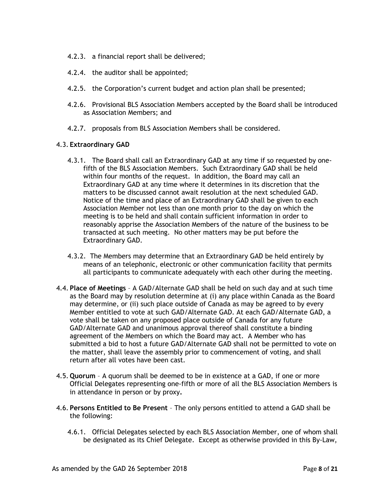- 4.2.3. a financial report shall be delivered;
- 4.2.4. the auditor shall be appointed;
- 4.2.5. the Corporation's current budget and action plan shall be presented;
- 4.2.6. Provisional BLS Association Members accepted by the Board shall be introduced as Association Members; and
- 4.2.7. proposals from BLS Association Members shall be considered.

### 4.3. **Extraordinary GAD**

- 4.3.1. The Board shall call an Extraordinary GAD at any time if so requested by onefifth of the BLS Association Members. Such Extraordinary GAD shall be held within four months of the request. In addition, the Board may call an Extraordinary GAD at any time where it determines in its discretion that the matters to be discussed cannot await resolution at the next scheduled GAD. Notice of the time and place of an Extraordinary GAD shall be given to each Association Member not less than one month prior to the day on which the meeting is to be held and shall contain sufficient information in order to reasonably apprise the Association Members of the nature of the business to be transacted at such meeting. No other matters may be put before the Extraordinary GAD.
- 4.3.2. The Members may determine that an Extraordinary GAD be held entirely by means of an telephonic, electronic or other communication facility that permits all participants to communicate adequately with each other during the meeting.
- 4.4. **Place of Meetings**  A GAD/Alternate GAD shall be held on such day and at such time as the Board may by resolution determine at (i) any place within Canada as the Board may determine, or (ii) such place outside of Canada as may be agreed to by every Member entitled to vote at such GAD/Alternate GAD. At each GAD/Alternate GAD, a vote shall be taken on any proposed place outside of Canada for any future GAD/Alternate GAD and unanimous approval thereof shall constitute a binding agreement of the Members on which the Board may act. A Member who has submitted a bid to host a future GAD/Alternate GAD shall not be permitted to vote on the matter, shall leave the assembly prior to commencement of voting, and shall return after all votes have been cast.
- 4.5. **Quorum**  A quorum shall be deemed to be in existence at a GAD, if one or more Official Delegates representing one-fifth or more of all the BLS Association Members is in attendance in person or by proxy**.**
- 4.6. **Persons Entitled to Be Present** The only persons entitled to attend a GAD shall be the following:
	- 4.6.1. Official Delegates selected by each BLS Association Member, one of whom shall be designated as its Chief Delegate. Except as otherwise provided in this By-Law,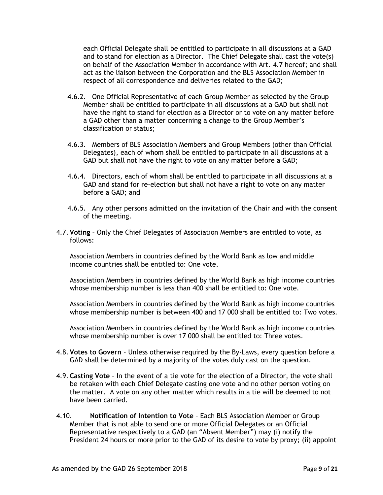each Official Delegate shall be entitled to participate in all discussions at a GAD and to stand for election as a Director. The Chief Delegate shall cast the vote(s) on behalf of the Association Member in accordance with Art. 4.7 hereof; and shall act as the liaison between the Corporation and the BLS Association Member in respect of all correspondence and deliveries related to the GAD;

- 4.6.2. One Official Representative of each Group Member as selected by the Group Member shall be entitled to participate in all discussions at a GAD but shall not have the right to stand for election as a Director or to vote on any matter before a GAD other than a matter concerning a change to the Group Member's classification or status;
- 4.6.3. Members of BLS Association Members and Group Members (other than Official Delegates), each of whom shall be entitled to participate in all discussions at a GAD but shall not have the right to vote on any matter before a GAD;
- 4.6.4. Directors, each of whom shall be entitled to participate in all discussions at a GAD and stand for re-election but shall not have a right to vote on any matter before a GAD; and
- 4.6.5. Any other persons admitted on the invitation of the Chair and with the consent of the meeting.
- 4.7. **Voting** Only the Chief Delegates of Association Members are entitled to vote, as follows:

Association Members in countries defined by the World Bank as low and middle income countries shall be entitled to: One vote.

Association Members in countries defined by the World Bank as high income countries whose membership number is less than 400 shall be entitled to: One vote.

Association Members in countries defined by the World Bank as high income countries whose membership number is between 400 and 17 000 shall be entitled to: Two votes.

Association Members in countries defined by the World Bank as high income countries whose membership number is over 17 000 shall be entitled to: Three votes.

- 4.8. **Votes to Govern**  Unless otherwise required by the By-Laws, every question before a GAD shall be determined by a majority of the votes duly cast on the question.
- 4.9. **Casting Vote** In the event of a tie vote for the election of a Director, the vote shall be retaken with each Chief Delegate casting one vote and no other person voting on the matter. A vote on any other matter which results in a tie will be deemed to not have been carried.
- 4.10. **Notification of Intention to Vote** Each BLS Association Member or Group Member that is not able to send one or more Official Delegates or an Official Representative respectively to a GAD (an "Absent Member") may (i) notify the President 24 hours or more prior to the GAD of its desire to vote by proxy; (ii) appoint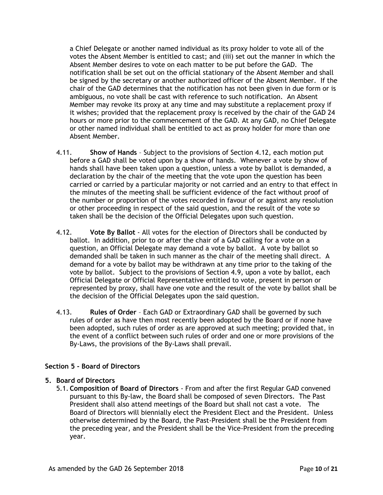a Chief Delegate or another named individual as its proxy holder to vote all of the votes the Absent Member is entitled to cast; and (iii) set out the manner in which the Absent Member desires to vote on each matter to be put before the GAD. The notification shall be set out on the official stationary of the Absent Member and shall be signed by the secretary or another authorized officer of the Absent Member. If the chair of the GAD determines that the notification has not been given in due form or is ambiguous, no vote shall be cast with reference to such notification. An Absent Member may revoke its proxy at any time and may substitute a replacement proxy if it wishes; provided that the replacement proxy is received by the chair of the GAD 24 hours or more prior to the commencement of the GAD. At any GAD, no Chief Delegate or other named individual shall be entitled to act as proxy holder for more than one Absent Member.

- 4.11. **Show of Hands** Subject to the provisions of Section 4.12, each motion put before a GAD shall be voted upon by a show of hands. Whenever a vote by show of hands shall have been taken upon a question, unless a vote by ballot is demanded, a declaration by the chair of the meeting that the vote upon the question has been carried or carried by a particular majority or not carried and an entry to that effect in the minutes of the meeting shall be sufficient evidence of the fact without proof of the number or proportion of the votes recorded in favour of or against any resolution or other proceeding in respect of the said question, and the result of the vote so taken shall be the decision of the Official Delegates upon such question.
- 4.12. **Vote By Ballot** All votes for the election of Directors shall be conducted by ballot. In addition, prior to or after the chair of a GAD calling for a vote on a question, an Official Delegate may demand a vote by ballot. A vote by ballot so demanded shall be taken in such manner as the chair of the meeting shall direct. A demand for a vote by ballot may be withdrawn at any time prior to the taking of the vote by ballot. Subject to the provisions of Section 4.9, upon a vote by ballot, each Official Delegate or Official Representative entitled to vote, present in person or represented by proxy, shall have one vote and the result of the vote by ballot shall be the decision of the Official Delegates upon the said question.
- 4.13. **Rules of Order** Each GAD or Extraordinary GAD shall be governed by such rules of order as have then most recently been adopted by the Board or if none have been adopted, such rules of order as are approved at such meeting; provided that, in the event of a conflict between such rules of order and one or more provisions of the By-Laws, the provisions of the By-Laws shall prevail.

# **Section 5 - Board of Directors**

# **5. Board of Directors**

5.1. **Composition of Board of Directors** - From and after the first Regular GAD convened pursuant to this By-law, the Board shall be composed of seven Directors. The Past President shall also attend meetings of the Board but shall not cast a vote. The Board of Directors will biennially elect the President Elect and the President. Unless otherwise determined by the Board, the Past-President shall be the President from the preceding year, and the President shall be the Vice-President from the preceding year.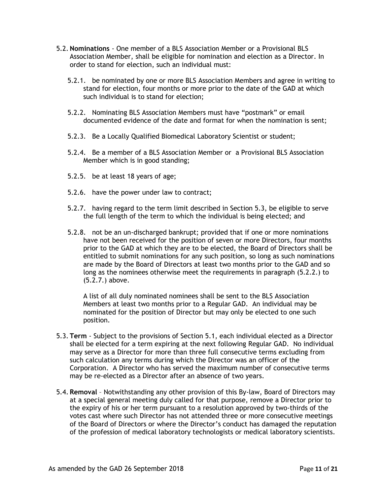- 5.2. **Nominations** One member of a BLS Association Member or a Provisional BLS Association Member, shall be eligible for nomination and election as a Director. In order to stand for election, such an individual must:
	- 5.2.1. be nominated by one or more BLS Association Members and agree in writing to stand for election, four months or more prior to the date of the GAD at which such individual is to stand for election;
	- 5.2.2. Nominating BLS Association Members must have "postmark" or email documented evidence of the date and format for when the nomination is sent;
	- 5.2.3. Be a Locally Qualified Biomedical Laboratory Scientist or student;
	- 5.2.4. Be a member of a BLS Association Member or a Provisional BLS Association Member which is in good standing;
	- 5.2.5. be at least 18 years of age;
	- 5.2.6. have the power under law to contract;
	- 5.2.7. having regard to the term limit described in Section 5.3, be eligible to serve the full length of the term to which the individual is being elected; and
	- 5.2.8. not be an un-discharged bankrupt; provided that if one or more nominations have not been received for the position of seven or more Directors, four months prior to the GAD at which they are to be elected, the Board of Directors shall be entitled to submit nominations for any such position, so long as such nominations are made by the Board of Directors at least two months prior to the GAD and so long as the nominees otherwise meet the requirements in paragraph (5.2.2.) to (5.2.7.) above.

A list of all duly nominated nominees shall be sent to the BLS Association Members at least two months prior to a Regular GAD. An individual may be nominated for the position of Director but may only be elected to one such position.

- 5.3. **Term**  Subject to the provisions of Section 5.1, each individual elected as a Director shall be elected for a term expiring at the next following Regular GAD. No individual may serve as a Director for more than three full consecutive terms excluding from such calculation any terms during which the Director was an officer of the Corporation. A Director who has served the maximum number of consecutive terms may be re-elected as a Director after an absence of two years.
- 5.4. **Removal**  Notwithstanding any other provision of this By-law, Board of Directors may at a special general meeting duly called for that purpose, remove a Director prior to the expiry of his or her term pursuant to a resolution approved by two-thirds of the votes cast where such Director has not attended three or more consecutive meetings of the Board of Directors or where the Director's conduct has damaged the reputation of the profession of medical laboratory technologists or medical laboratory scientists.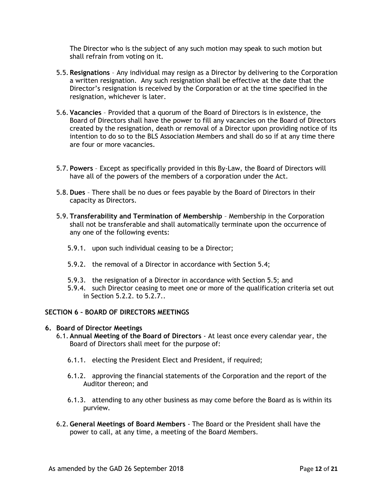The Director who is the subject of any such motion may speak to such motion but shall refrain from voting on it.

- 5.5. **Resignations**  Any individual may resign as a Director by delivering to the Corporation a written resignation. Any such resignation shall be effective at the date that the Director's resignation is received by the Corporation or at the time specified in the resignation, whichever is later.
- 5.6. **Vacancies** Provided that a quorum of the Board of Directors is in existence, the Board of Directors shall have the power to fill any vacancies on the Board of Directors created by the resignation, death or removal of a Director upon providing notice of its intention to do so to the BLS Association Members and shall do so if at any time there are four or more vacancies.
- 5.7. **Powers**  Except as specifically provided in this By-Law, the Board of Directors will have all of the powers of the members of a corporation under the Act.
- 5.8. **Dues** There shall be no dues or fees payable by the Board of Directors in their capacity as Directors.
- 5.9. **Transferability and Termination of Membership** Membership in the Corporation shall not be transferable and shall automatically terminate upon the occurrence of any one of the following events:
	- 5.9.1. upon such individual ceasing to be a Director;
	- 5.9.2. the removal of a Director in accordance with Section 5.4;
	- 5.9.3. the resignation of a Director in accordance with Section 5.5; and
	- 5.9.4. such Director ceasing to meet one or more of the qualification criteria set out in Section 5.2.2. to 5.2.7..

# **SECTION 6 – BOARD OF DIRECTORS MEETINGS**

#### **6. Board of Director Meetings**

- 6.1. **Annual Meeting of the Board of Directors** At least once every calendar year, the Board of Directors shall meet for the purpose of:
	- 6.1.1. electing the President Elect and President, if required;
	- 6.1.2. approving the financial statements of the Corporation and the report of the Auditor thereon; and
	- 6.1.3. attending to any other business as may come before the Board as is within its purview.
- 6.2. **General Meetings of Board Members** The Board or the President shall have the power to call, at any time, a meeting of the Board Members.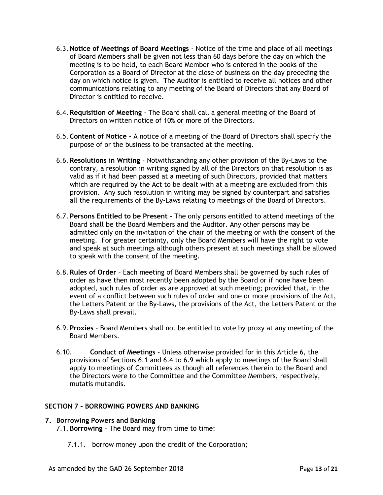- 6.3. **Notice of Meetings of Board Meetings** Notice of the time and place of all meetings of Board Members shall be given not less than 60 days before the day on which the meeting is to be held, to each Board Member who is entered in the books of the Corporation as a Board of Director at the close of business on the day preceding the day on which notice is given. The Auditor is entitled to receive all notices and other communications relating to any meeting of the Board of Directors that any Board of Director is entitled to receive.
- 6.4. **Requisition of Meeting** The Board shall call a general meeting of the Board of Directors on written notice of 10% or more of the Directors.
- 6.5. **Content of Notice** A notice of a meeting of the Board of Directors shall specify the purpose of or the business to be transacted at the meeting.
- 6.6. **Resolutions in Writing** Notwithstanding any other provision of the By-Laws to the contrary, a resolution in writing signed by all of the Directors on that resolution is as valid as if it had been passed at a meeting of such Directors, provided that matters which are required by the Act to be dealt with at a meeting are excluded from this provision. Any such resolution in writing may be signed by counterpart and satisfies all the requirements of the By-Laws relating to meetings of the Board of Directors.
- 6.7. **Persons Entitled to be Present** The only persons entitled to attend meetings of the Board shall be the Board Members and the Auditor. Any other persons may be admitted only on the invitation of the chair of the meeting or with the consent of the meeting. For greater certainty, only the Board Members will have the right to vote and speak at such meetings although others present at such meetings shall be allowed to speak with the consent of the meeting.
- 6.8. **Rules of Order** Each meeting of Board Members shall be governed by such rules of order as have then most recently been adopted by the Board or if none have been adopted, such rules of order as are approved at such meeting; provided that, in the event of a conflict between such rules of order and one or more provisions of the Act, the Letters Patent or the By-Laws, the provisions of the Act, the Letters Patent or the By-Laws shall prevail.
- 6.9. **Proxies** Board Members shall not be entitled to vote by proxy at any meeting of the Board Members.
- 6.10. **Conduct of Meetings** Unless otherwise provided for in this Article 6, the provisions of Sections 6.1 and 6.4 to 6.9 which apply to meetings of the Board shall apply to meetings of Committees as though all references therein to the Board and the Directors were to the Committee and the Committee Members, respectively, mutatis mutandis.

# **SECTION 7 – BORROWING POWERS AND BANKING**

# **7. Borrowing Powers and Banking**

7.1. **Borrowing** – The Board may from time to time:

7.1.1. borrow money upon the credit of the Corporation;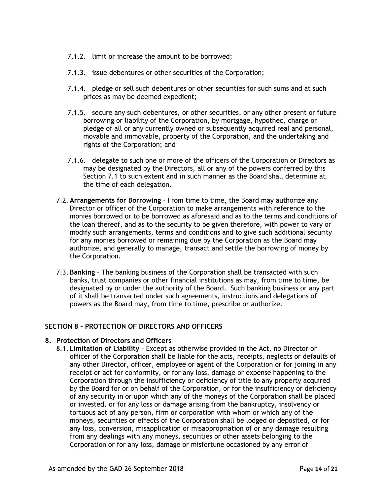- 7.1.2. limit or increase the amount to be borrowed;
- 7.1.3. issue debentures or other securities of the Corporation;
- 7.1.4. pledge or sell such debentures or other securities for such sums and at such prices as may be deemed expedient;
- 7.1.5. secure any such debentures, or other securities, or any other present or future borrowing or liability of the Corporation, by mortgage, hypothec, charge or pledge of all or any currently owned or subsequently acquired real and personal, movable and immovable, property of the Corporation, and the undertaking and rights of the Corporation; and
- 7.1.6. delegate to such one or more of the officers of the Corporation or Directors as may be designated by the Directors, all or any of the powers conferred by this Section 7.1 to such extent and in such manner as the Board shall determine at the time of each delegation.
- 7.2. **Arrangements for Borrowing** From time to time, the Board may authorize any Director or officer of the Corporation to make arrangements with reference to the monies borrowed or to be borrowed as aforesaid and as to the terms and conditions of the loan thereof, and as to the security to be given therefore, with power to vary or modify such arrangements, terms and conditions and to give such additional security for any monies borrowed or remaining due by the Corporation as the Board may authorize, and generally to manage, transact and settle the borrowing of money by the Corporation.
- 7.3. **Banking** The banking business of the Corporation shall be transacted with such banks, trust companies or other financial institutions as may, from time to time, be designated by or under the authority of the Board. Such banking business or any part of it shall be transacted under such agreements, instructions and delegations of powers as the Board may, from time to time, prescribe or authorize.

# **SECTION 8 – PROTECTION OF DIRECTORS AND OFFICERS**

# **8. Protection of Directors and Officers**

8.1. **Limitation of Liability** – Except as otherwise provided in the Act, no Director or officer of the Corporation shall be liable for the acts, receipts, neglects or defaults of any other Director, officer, employee or agent of the Corporation or for joining in any receipt or act for conformity, or for any loss, damage or expense happening to the Corporation through the insufficiency or deficiency of title to any property acquired by the Board for or on behalf of the Corporation, or for the insufficiency or deficiency of any security in or upon which any of the moneys of the Corporation shall be placed or invested, or for any loss or damage arising from the bankruptcy, insolvency or tortuous act of any person, firm or corporation with whom or which any of the moneys, securities or effects of the Corporation shall be lodged or deposited, or for any loss, conversion, misapplication or misappropriation of or any damage resulting from any dealings with any moneys, securities or other assets belonging to the Corporation or for any loss, damage or misfortune occasioned by any error of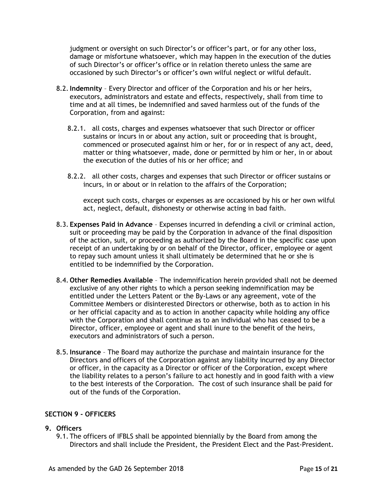judgment or oversight on such Director's or officer's part, or for any other loss, damage or misfortune whatsoever, which may happen in the execution of the duties of such Director's or officer's office or in relation thereto unless the same are occasioned by such Director's or officer's own wilful neglect or wilful default.

- 8.2.**Indemnity** Every Director and officer of the Corporation and his or her heirs, executors, administrators and estate and effects, respectively, shall from time to time and at all times, be indemnified and saved harmless out of the funds of the Corporation, from and against:
	- 8.2.1. all costs, charges and expenses whatsoever that such Director or officer sustains or incurs in or about any action, suit or proceeding that is brought, commenced or prosecuted against him or her, for or in respect of any act, deed, matter or thing whatsoever, made, done or permitted by him or her, in or about the execution of the duties of his or her office; and
	- 8.2.2. all other costs, charges and expenses that such Director or officer sustains or incurs, in or about or in relation to the affairs of the Corporation;

except such costs, charges or expenses as are occasioned by his or her own wilful act, neglect, default, dishonesty or otherwise acting in bad faith.

- 8.3. **Expenses Paid in Advance** Expenses incurred in defending a civil or criminal action, suit or proceeding may be paid by the Corporation in advance of the final disposition of the action, suit, or proceeding as authorized by the Board in the specific case upon receipt of an undertaking by or on behalf of the Director, officer, employee or agent to repay such amount unless it shall ultimately be determined that he or she is entitled to be indemnified by the Corporation.
- 8.4. **Other Remedies Available** The indemnification herein provided shall not be deemed exclusive of any other rights to which a person seeking indemnification may be entitled under the Letters Patent or the By-Laws or any agreement, vote of the Committee Members or disinterested Directors or otherwise, both as to action in his or her official capacity and as to action in another capacity while holding any office with the Corporation and shall continue as to an individual who has ceased to be a Director, officer, employee or agent and shall inure to the benefit of the heirs, executors and administrators of such a person.
- 8.5.**Insurance**  The Board may authorize the purchase and maintain insurance for the Directors and officers of the Corporation against any liability incurred by any Director or officer, in the capacity as a Director or officer of the Corporation, except where the liability relates to a person's failure to act honestly and in good faith with a view to the best interests of the Corporation. The cost of such insurance shall be paid for out of the funds of the Corporation.

# **SECTION 9 - OFFICERS**

# **9. Officers**

9.1. The officers of IFBLS shall be appointed biennially by the Board from among the Directors and shall include the President, the President Elect and the Past-President.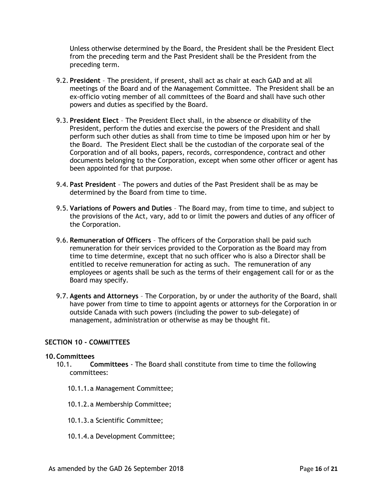Unless otherwise determined by the Board, the President shall be the President Elect from the preceding term and the Past President shall be the President from the preceding term.

- 9.2. **President**  The president, if present, shall act as chair at each GAD and at all meetings of the Board and of the Management Committee. The President shall be an ex-officio voting member of all committees of the Board and shall have such other powers and duties as specified by the Board.
- 9.3. **President Elect** The President Elect shall, in the absence or disability of the President, perform the duties and exercise the powers of the President and shall perform such other duties as shall from time to time be imposed upon him or her by the Board. The President Elect shall be the custodian of the corporate seal of the Corporation and of all books, papers, records, correspondence, contract and other documents belonging to the Corporation, except when some other officer or agent has been appointed for that purpose.
- 9.4. **Past President** The powers and duties of the Past President shall be as may be determined by the Board from time to time.
- 9.5. **Variations of Powers and Duties** The Board may, from time to time, and subject to the provisions of the Act, vary, add to or limit the powers and duties of any officer of the Corporation.
- 9.6. **Remuneration of Officers** The officers of the Corporation shall be paid such remuneration for their services provided to the Corporation as the Board may from time to time determine, except that no such officer who is also a Director shall be entitled to receive remuneration for acting as such. The remuneration of any employees or agents shall be such as the terms of their engagement call for or as the Board may specify.
- 9.7. **Agents and Attorneys**  The Corporation, by or under the authority of the Board, shall have power from time to time to appoint agents or attorneys for the Corporation in or outside Canada with such powers (including the power to sub-delegate) of management, administration or otherwise as may be thought fit.

#### **SECTION 10 - COMMITTEES**

#### **10.Committees**

- 10.1. **Committees** The Board shall constitute from time to time the following committees:
	- 10.1.1.a Management Committee;
	- 10.1.2.a Membership Committee;
	- 10.1.3.a Scientific Committee;
	- 10.1.4.a Development Committee;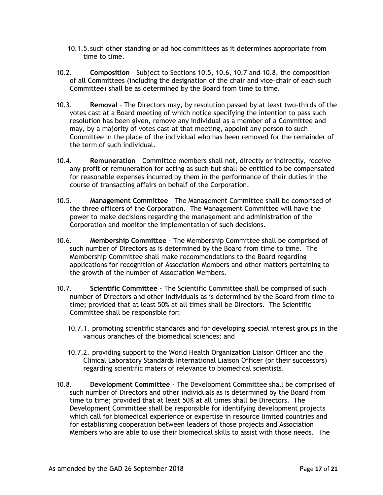- 10.1.5.such other standing or ad hoc committees as it determines appropriate from time to time.
- 10.2. **Composition**  Subject to Sections 10.5, 10.6, 10.7 and 10.8, the composition of all Committees (including the designation of the chair and vice-chair of each such Committee) shall be as determined by the Board from time to time.
- 10.3. **Removal** The Directors may, by resolution passed by at least two-thirds of the votes cast at a Board meeting of which notice specifying the intention to pass such resolution has been given, remove any individual as a member of a Committee and may, by a majority of votes cast at that meeting, appoint any person to such Committee in the place of the individual who has been removed for the remainder of the term of such individual.
- 10.4. **Remuneration** Committee members shall not, directly or indirectly, receive any profit or remuneration for acting as such but shall be entitled to be compensated for reasonable expenses incurred by them in the performance of their duties in the course of transacting affairs on behalf of the Corporation.
- 10.5. **Management Committee** The Management Committee shall be comprised of the three officers of the Corporation. The Management Committee will have the power to make decisions regarding the management and administration of the Corporation and monitor the implementation of such decisions.
- 10.6. **Membership Committee** The Membership Committee shall be comprised of such number of Directors as is determined by the Board from time to time. The Membership Committee shall make recommendations to the Board regarding applications for recognition of Association Members and other matters pertaining to the growth of the number of Association Members.
- 10.7. **Scientific Committee** The Scientific Committee shall be comprised of such number of Directors and other individuals as is determined by the Board from time to time; provided that at least 50% at all times shall be Directors. The Scientific Committee shall be responsible for:
	- 10.7.1. promoting scientific standards and for developing special interest groups in the various branches of the biomedical sciences; and
	- 10.7.2. providing support to the World Health Organization Liaison Officer and the Clinical Laboratory Standards International Liaison Officer (or their successors) regarding scientific maters of relevance to biomedical scientists.
- 10.8. **Development Committee** The Development Committee shall be comprised of such number of Directors and other individuals as is determined by the Board from time to time; provided that at least 50% at all times shall be Directors. The Development Committee shall be responsible for identifying development projects which call for biomedical experience or expertise in resource limited countries and for establishing cooperation between leaders of those projects and Association Members who are able to use their biomedical skills to assist with those needs. The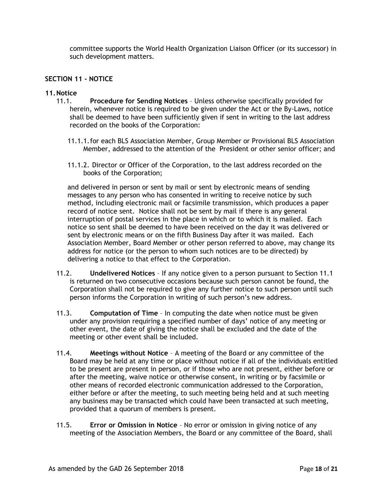committee supports the World Health Organization Liaison Officer (or its successor) in such development matters.

# **SECTION 11 - NOTICE**

#### **11.Notice**

- 11.1. **Procedure for Sending Notices** Unless otherwise specifically provided for herein, whenever notice is required to be given under the Act or the By-Laws, notice shall be deemed to have been sufficiently given if sent in writing to the last address recorded on the books of the Corporation:
	- 11.1.1.for each BLS Association Member, Group Member or Provisional BLS Association Member, addressed to the attention of the President or other senior officer; and
	- 11.1.2. Director or Officer of the Corporation, to the last address recorded on the books of the Corporation;

and delivered in person or sent by mail or sent by electronic means of sending messages to any person who has consented in writing to receive notice by such method, including electronic mail or facsimile transmission, which produces a paper record of notice sent. Notice shall not be sent by mail if there is any general interruption of postal services in the place in which or to which it is mailed. Each notice so sent shall be deemed to have been received on the day it was delivered or sent by electronic means or on the fifth Business Day after it was mailed. Each Association Member, Board Member or other person referred to above, may change its address for notice (or the person to whom such notices are to be directed) by delivering a notice to that effect to the Corporation.

- 11.2. **Undelivered Notices** If any notice given to a person pursuant to Section 11.1 is returned on two consecutive occasions because such person cannot be found, the Corporation shall not be required to give any further notice to such person until such person informs the Corporation in writing of such person's new address.
- 11.3. **Computation of Time** In computing the date when notice must be given under any provision requiring a specified number of days' notice of any meeting or other event, the date of giving the notice shall be excluded and the date of the meeting or other event shall be included.
- 11.4. **Meetings without Notice** A meeting of the Board or any committee of the Board may be held at any time or place without notice if all of the individuals entitled to be present are present in person, or if those who are not present, either before or after the meeting, waive notice or otherwise consent, in writing or by facsimile or other means of recorded electronic communication addressed to the Corporation, either before or after the meeting, to such meeting being held and at such meeting any business may be transacted which could have been transacted at such meeting, provided that a quorum of members is present.
- 11.5. **Error or Omission in Notice** No error or omission in giving notice of any meeting of the Association Members, the Board or any committee of the Board, shall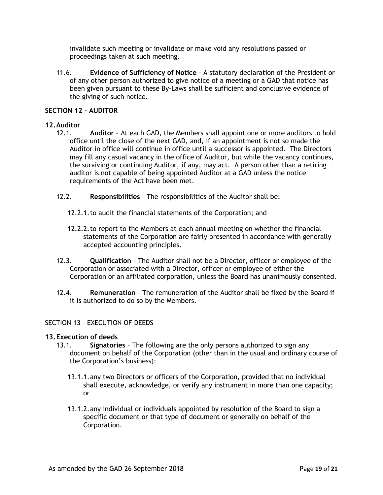invalidate such meeting or invalidate or make void any resolutions passed or proceedings taken at such meeting.

11.6. **Evidence of Sufficiency of Notice** - A statutory declaration of the President or of any other person authorized to give notice of a meeting or a GAD that notice has been given pursuant to these By-Laws shall be sufficient and conclusive evidence of the giving of such notice.

### **SECTION 12 - AUDITOR**

### **12.Auditor**

- 12.1. **Auditor** At each GAD, the Members shall appoint one or more auditors to hold office until the close of the next GAD, and, if an appointment is not so made the Auditor in office will continue in office until a successor is appointed. The Directors may fill any casual vacancy in the office of Auditor, but while the vacancy continues, the surviving or continuing Auditor, if any, may act. A person other than a retiring auditor is not capable of being appointed Auditor at a GAD unless the notice requirements of the Act have been met.
- 12.2. **Responsibilities**  The responsibilities of the Auditor shall be:
	- 12.2.1.to audit the financial statements of the Corporation; and
	- 12.2.2.to report to the Members at each annual meeting on whether the financial statements of the Corporation are fairly presented in accordance with generally accepted accounting principles.
- 12.3. **Qualification** The Auditor shall not be a Director, officer or employee of the Corporation or associated with a Director, officer or employee of either the Corporation or an affiliated corporation, unless the Board has unanimously consented.
- 12.4. **Remuneration** The remuneration of the Auditor shall be fixed by the Board if it is authorized to do so by the Members.

# SECTION 13 – EXECUTION OF DEEDS

#### **13.Execution of deeds**

- 13.1. **Signatories** The following are the only persons authorized to sign any document on behalf of the Corporation (other than in the usual and ordinary course of the Corporation's business):
	- 13.1.1.any two Directors or officers of the Corporation, provided that no individual shall execute, acknowledge, or verify any instrument in more than one capacity; or
	- 13.1.2.any individual or individuals appointed by resolution of the Board to sign a specific document or that type of document or generally on behalf of the Corporation.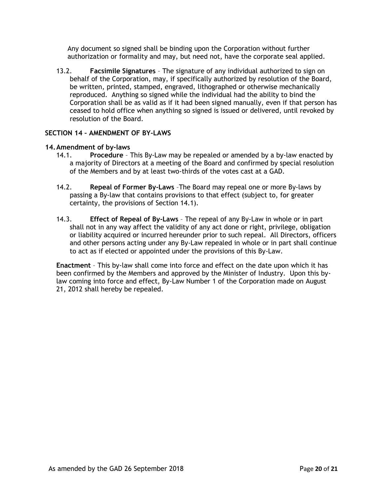Any document so signed shall be binding upon the Corporation without further authorization or formality and may, but need not, have the corporate seal applied.

13.2. **Facsimile Signatures** – The signature of any individual authorized to sign on behalf of the Corporation, may, if specifically authorized by resolution of the Board, be written, printed, stamped, engraved, lithographed or otherwise mechanically reproduced. Anything so signed while the individual had the ability to bind the Corporation shall be as valid as if it had been signed manually, even if that person has ceased to hold office when anything so signed is issued or delivered, until revoked by resolution of the Board.

# **SECTION 14 – AMENDMENT OF BY-LAWS**

# **14.Amendment of by-laws**

- 14.1. **Procedure** This By-Law may be repealed or amended by a by-law enacted by a majority of Directors at a meeting of the Board and confirmed by special resolution of the Members and by at least two-thirds of the votes cast at a GAD.
- 14.2. **Repeal of Former By-Laws** –The Board may repeal one or more By-laws by passing a By-law that contains provisions to that effect (subject to, for greater certainty, the provisions of Section 14.1).
- 14.3. **Effect of Repeal of By-Laws** The repeal of any By-Law in whole or in part shall not in any way affect the validity of any act done or right, privilege, obligation or liability acquired or incurred hereunder prior to such repeal. All Directors, officers and other persons acting under any By-Law repealed in whole or in part shall continue to act as if elected or appointed under the provisions of this By-Law.

**Enactment** – This by-law shall come into force and effect on the date upon which it has been confirmed by the Members and approved by the Minister of Industry. Upon this bylaw coming into force and effect, By-Law Number 1 of the Corporation made on August 21, 2012 shall hereby be repealed.